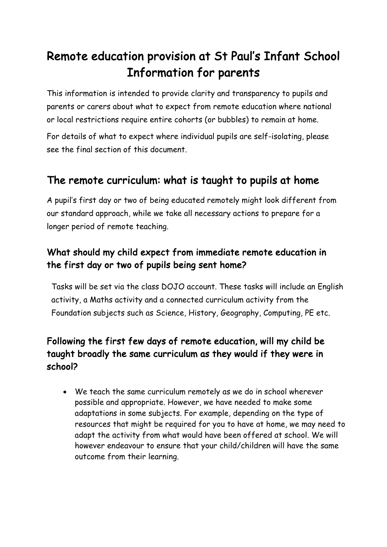# Remote education provision at St Paul's Infant School Information for parents

This information is intended to provide clarity and transparency to pupils and parents or carers about what to expect from remote education where national or local restrictions require entire cohorts (or bubbles) to remain at home.

For details of what to expect where individual pupils are self-isolating, please see the final section of this document.

## The remote curriculum: what is taught to pupils at home

A pupil's first day or two of being educated remotely might look different from our standard approach, while we take all necessary actions to prepare for a longer period of remote teaching.

#### What should my child expect from immediate remote education in the first day or two of pupils being sent home?

Tasks will be set via the class DOJO account. These tasks will include an English activity, a Maths activity and a connected curriculum activity from the Foundation subjects such as Science, History, Geography, Computing, PE etc.

#### Following the first few days of remote education, will my child be taught broadly the same curriculum as they would if they were in school?

• We teach the same curriculum remotely as we do in school wherever possible and appropriate. However, we have needed to make some adaptations in some subjects. For example, depending on the type of resources that might be required for you to have at home, we may need to adapt the activity from what would have been offered at school. We will however endeavour to ensure that your child/children will have the same outcome from their learning.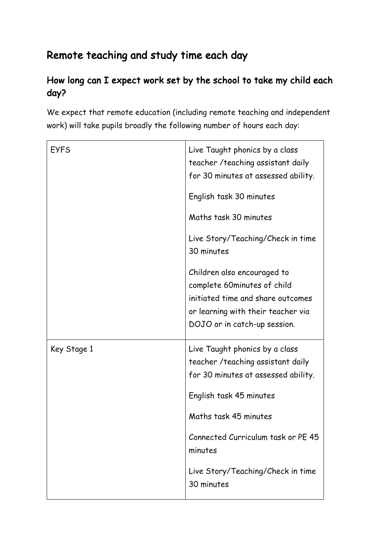## Remote teaching and study time each day

#### How long can I expect work set by the school to take my child each day?

We expect that remote education (including remote teaching and independent work) will take pupils broadly the following number of hours each day:

| <b>EYFS</b> | Live Taught phonics by a class<br>teacher / teaching assistant daily<br>for 30 minutes at assessed ability.                                                                                           |
|-------------|-------------------------------------------------------------------------------------------------------------------------------------------------------------------------------------------------------|
|             | English task 30 minutes                                                                                                                                                                               |
|             | Maths task 30 minutes                                                                                                                                                                                 |
|             | Live Story/Teaching/Check in time<br>30 minutes                                                                                                                                                       |
|             | Children also encouraged to<br>complete 60minutes of child<br>initiated time and share outcomes<br>or learning with their teacher via<br>DOJO or in catch-up session.                                 |
| Key Stage 1 | Live Taught phonics by a class<br>teacher / teaching assistant daily<br>for 30 minutes at assessed ability.<br>English task 45 minutes<br>Maths task 45 minutes<br>Connected Curriculum task or PE 45 |
|             | minutes<br>Live Story/Teaching/Check in time                                                                                                                                                          |
|             | 30 minutes                                                                                                                                                                                            |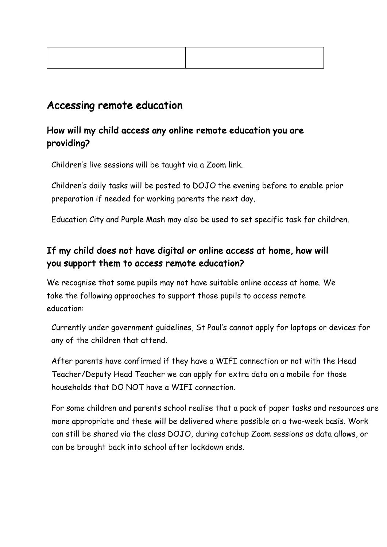### Accessing remote education

#### How will my child access any online remote education you are providing?

Children's live sessions will be taught via a Zoom link.

Children's daily tasks will be posted to DOJO the evening before to enable prior preparation if needed for working parents the next day.

Education City and Purple Mash may also be used to set specific task for children.

#### If my child does not have digital or online access at home, how will you support them to access remote education?

We recognise that some pupils may not have suitable online access at home. We take the following approaches to support those pupils to access remote education:

Currently under government guidelines, St Paul's cannot apply for laptops or devices for any of the children that attend.

After parents have confirmed if they have a WIFI connection or not with the Head Teacher/Deputy Head Teacher we can apply for extra data on a mobile for those households that DO NOT have a WIFI connection.

For some children and parents school realise that a pack of paper tasks and resources are more appropriate and these will be delivered where possible on a two-week basis. Work can still be shared via the class DOJO, during catchup Zoom sessions as data allows, or can be brought back into school after lockdown ends.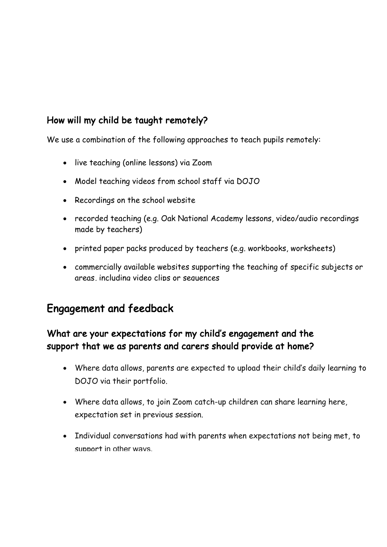#### How will my child be taught remotely?

We use a combination of the following approaches to teach pupils remotely:

- live teaching (online lessons) via Zoom
- Model teaching videos from school staff via DOJO
- Recordings on the school website
- recorded teaching (e.g. Oak National Academy lessons, video/audio recordings made by teachers)
- printed paper packs produced by teachers (e.g. workbooks, worksheets)
- commercially available websites supporting the teaching of specific subjects or areas, including video clips or sequences

## Engagement and feedback

#### What are your expectations for my child's engagement and the support that we as parents and carers should provide at home?

- Where data allows, parents are expected to upload their child's daily learning to DOJO via their portfolio.
- Where data allows, to join Zoom catch-up children can share learning here, expectation set in previous session.
- Individual conversations had with parents when expectations not being met, to support in other ways.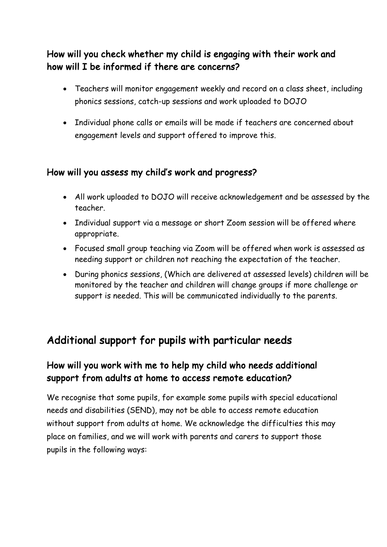#### How will you check whether my child is engaging with their work and how will I be informed if there are concerns?

- Teachers will monitor engagement weekly and record on a class sheet, including phonics sessions, catch-up sessions and work uploaded to DOJO
- Individual phone calls or emails will be made if teachers are concerned about engagement levels and support offered to improve this.

#### How will you assess my child's work and progress?

- All work uploaded to DOJO will receive acknowledgement and be assessed by the teacher.
- Individual support via a message or short Zoom session will be offered where appropriate.
- Focused small group teaching via Zoom will be offered when work is assessed as needing support or children not reaching the expectation of the teacher.
- During phonics sessions, (Which are delivered at assessed levels) children will be monitored by the teacher and children will change groups if more challenge or support is needed. This will be communicated individually to the parents.

## Additional support for pupils with particular needs

#### How will you work with me to help my child who needs additional support from adults at home to access remote education?

We recognise that some pupils, for example some pupils with special educational needs and disabilities (SEND), may not be able to access remote education without support from adults at home. We acknowledge the difficulties this may place on families, and we will work with parents and carers to support those pupils in the following ways: